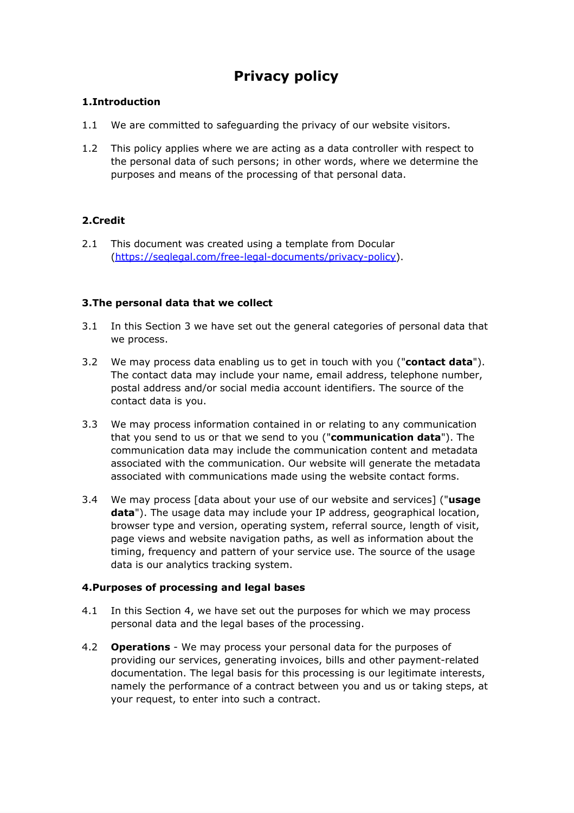# **Privacy policy**

# **1.Introduction**

- 1.1 We are committed to safeguarding the privacy of our website visitors.
- 1.2 This policy applies where we are acting as a data controller with respect to the personal data of such persons; in other words, where we determine the purposes and means of the processing of that personal data.

# **2.Credit**

2.1 This document was created using a template from Docular [\(https://seqlegal.com/free-legal-documents/privacy-policy\)](https://seqlegal.com/free-legal-documents/privacy-policy).

## **3.The personal data that we collect**

- 3.1 In this Section 3 we have set out the general categories of personal data that we process.
- 3.2 We may process data enabling us to get in touch with you ("**contact data**"). The contact data may include your name, email address, telephone number, postal address and/or social media account identifiers. The source of the contact data is you.
- 3.3 We may process information contained in or relating to any communication that you send to us or that we send to you ("**communication data**"). The communication data may include the communication content and metadata associated with the communication. Our website will generate the metadata associated with communications made using the website contact forms.
- 3.4 We may process [data about your use of our website and services] ("**usage data**"). The usage data may include your IP address, geographical location, browser type and version, operating system, referral source, length of visit, page views and website navigation paths, as well as information about the timing, frequency and pattern of your service use. The source of the usage data is our analytics tracking system.

#### **4.Purposes of processing and legal bases**

- 4.1 In this Section 4, we have set out the purposes for which we may process personal data and the legal bases of the processing.
- 4.2 **Operations** We may process your personal data for the purposes of providing our services, generating invoices, bills and other payment-related documentation. The legal basis for this processing is our legitimate interests, namely the performance of a contract between you and us or taking steps, at your request, to enter into such a contract.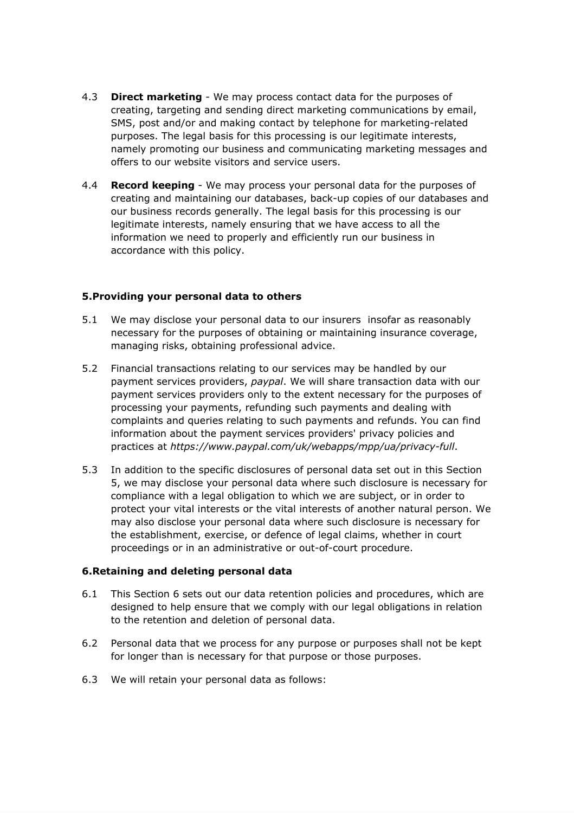- 4.3 **Direct marketing** We may process contact data for the purposes of creating, targeting and sending direct marketing communications by email, SMS, post and/or and making contact by telephone for marketing-related purposes. The legal basis for this processing is our legitimate interests, namely promoting our business and communicating marketing messages and offers to our website visitors and service users.
- 4.4 **Record keeping** We may process your personal data for the purposes of creating and maintaining our databases, back-up copies of our databases and our business records generally. The legal basis for this processing is our legitimate interests, namely ensuring that we have access to all the information we need to properly and efficiently run our business in accordance with this policy.

## **5.Providing your personal data to others**

- 5.1 We may disclose your personal data to our insurers insofar as reasonably necessary for the purposes of obtaining or maintaining insurance coverage, managing risks, obtaining professional advice.
- 5.2 Financial transactions relating to our services may be handled by our payment services providers, *paypal*. We will share transaction data with our payment services providers only to the extent necessary for the purposes of processing your payments, refunding such payments and dealing with complaints and queries relating to such payments and refunds. You can find information about the payment services providers' privacy policies and practices at *https://www.paypal.com/uk/webapps/mpp/ua/privacy-full*.
- 5.3 In addition to the specific disclosures of personal data set out in this Section 5, we may disclose your personal data where such disclosure is necessary for compliance with a legal obligation to which we are subject, or in order to protect your vital interests or the vital interests of another natural person. We may also disclose your personal data where such disclosure is necessary for the establishment, exercise, or defence of legal claims, whether in court proceedings or in an administrative or out-of-court procedure.

#### **6.Retaining and deleting personal data**

- 6.1 This Section 6 sets out our data retention policies and procedures, which are designed to help ensure that we comply with our legal obligations in relation to the retention and deletion of personal data.
- 6.2 Personal data that we process for any purpose or purposes shall not be kept for longer than is necessary for that purpose or those purposes.
- 6.3 We will retain your personal data as follows: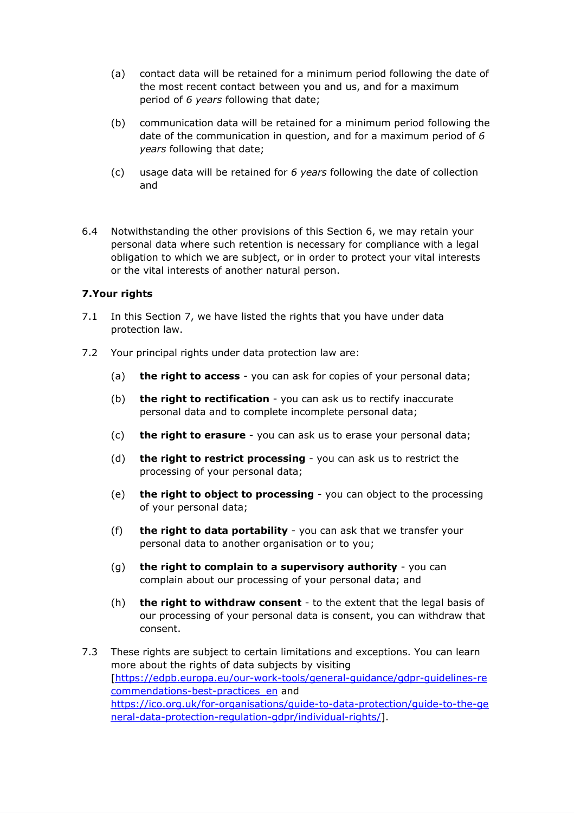- (a) contact data will be retained for a minimum period following the date of the most recent contact between you and us, and for a maximum period of *6 years* following that date;
- (b) communication data will be retained for a minimum period following the date of the communication in question, and for a maximum period of *6 years* following that date;
- (c) usage data will be retained for *6 years* following the date of collection and
- 6.4 Notwithstanding the other provisions of this Section 6, we may retain your personal data where such retention is necessary for compliance with a legal obligation to which we are subject, or in order to protect your vital interests or the vital interests of another natural person.

## **7.Your rights**

- 7.1 In this Section 7, we have listed the rights that you have under data protection law.
- 7.2 Your principal rights under data protection law are:
	- (a) **the right to access** you can ask for copies of your personal data;
	- (b) **the right to rectification** you can ask us to rectify inaccurate personal data and to complete incomplete personal data;
	- (c) **the right to erasure** you can ask us to erase your personal data;
	- (d) **the right to restrict processing** you can ask us to restrict the processing of your personal data;
	- (e) **the right to object to processing** you can object to the processing of your personal data;
	- (f) **the right to data portability** you can ask that we transfer your personal data to another organisation or to you;
	- (g) **the right to complain to a supervisory authority** you can complain about our processing of your personal data; and
	- (h) **the right to withdraw consent** to the extent that the legal basis of our processing of your personal data is consent, you can withdraw that consent.
- 7.3 These rights are subject to certain limitations and exceptions. You can learn more about the rights of data subjects by visiting [\[https://edpb.europa.eu/our-work-tools/general-guidance/gdpr-guidelines-re](https://edpb.europa.eu/our-work-tools/general-guidance/gdpr-guidelines-recommendations-best-practices_en) [commendations-best-practices\\_en](https://edpb.europa.eu/our-work-tools/general-guidance/gdpr-guidelines-recommendations-best-practices_en) and [https://ico.org.uk/for-organisations/guide-to-data-protection/guide-to-the-ge](https://ico.org.uk/for-organisations/guide-to-data-protection/guide-to-the-general-data-protection-regulation-gdpr/individual-rights/) [neral-data-protection-regulation-gdpr/individual-rights/\]](https://ico.org.uk/for-organisations/guide-to-data-protection/guide-to-the-general-data-protection-regulation-gdpr/individual-rights/).